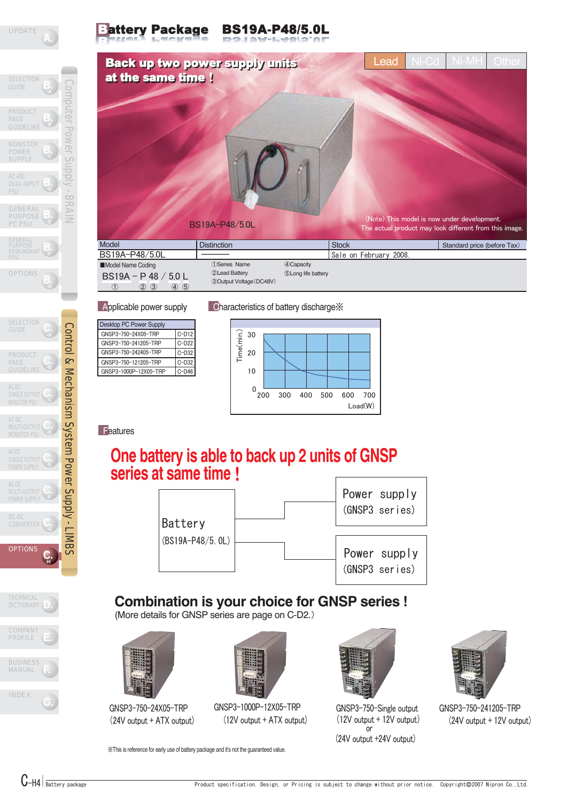

attery Package BS19A-P48/5.0L



| <b>Desktop PC Power Supply</b> |         |  |  |
|--------------------------------|---------|--|--|
| GNSP3-750-24X05-TRP            | $C-D12$ |  |  |
| GNSP3-750-241205-TRP           | $C-D22$ |  |  |
| GNSP3-750-242405-TRP           | $C-D32$ |  |  |
| GNSP3-750-121205-TRP           | $C-D32$ |  |  |
| GNSP3-1000P-12X05-TRP          | $C-D46$ |  |  |
|                                |         |  |  |

### Applicable power supply Characteristics of battery discharge  $\frac{1}{2}$



**Features** 

# **One battery is able to back up 2 units of GNSP series at same time**!



## COMPANY **PROFILE** TECHNICAL **DICTIONARY**

 **-G**

Control & Mechanism System Power Supply - LIMBS

Control & Mechanism System Power Supply - LIMBS

**C. -H**

DC-DC CONVERTER

**OPTIONS** 

**C.** AC-DC POWER SUPPLY

SINGLE OUTPUT **C** POWER SUPPLY

**C.**<br> **MULTI-OUTPUT**<br> **NONSTOP BSLL** AC-DC NONSTOP PSU

AC-DC<br>SINGLE OUTPUT **C** NONSTOP PSU

**PRODUC** PAGE GUIDELIN

SELECTION **GUIDE** 

OPTIONS

GENERAL PURPOSE REDUNDANT PSU

GENERAL PURPOSE PC PSU

AC+DC DUAL-INPUT PSU

**NONSTOP** POWER **SUPPLY** 

PRODUCT PAGE GUIDELINE

**SELECTION** GUIDE

**B. -F**

 **-E**

**B. -D**

Computer Power Supply - BRAIN

Iddn<sub>S</sub>

**BRAI** 

**POWer** 

Computer



BUSINESS

**Combination is your choice for GNSP series !**

(More details for GNSP series are page on C-D2.)

※This is reference for early use of battery package and it's not the guaranteed value.



GNSP3-750-24X05-TRP (24V output + ATX output)



GNSP3-1000P-12X05-TRP (12V output + ATX output)



GNSP3-750-Single output (12V output + 12V output)  $rac{1}{2}$  or (24V output +24V output)



GNSP3-750-241205-TRP (24V output + 12V output)